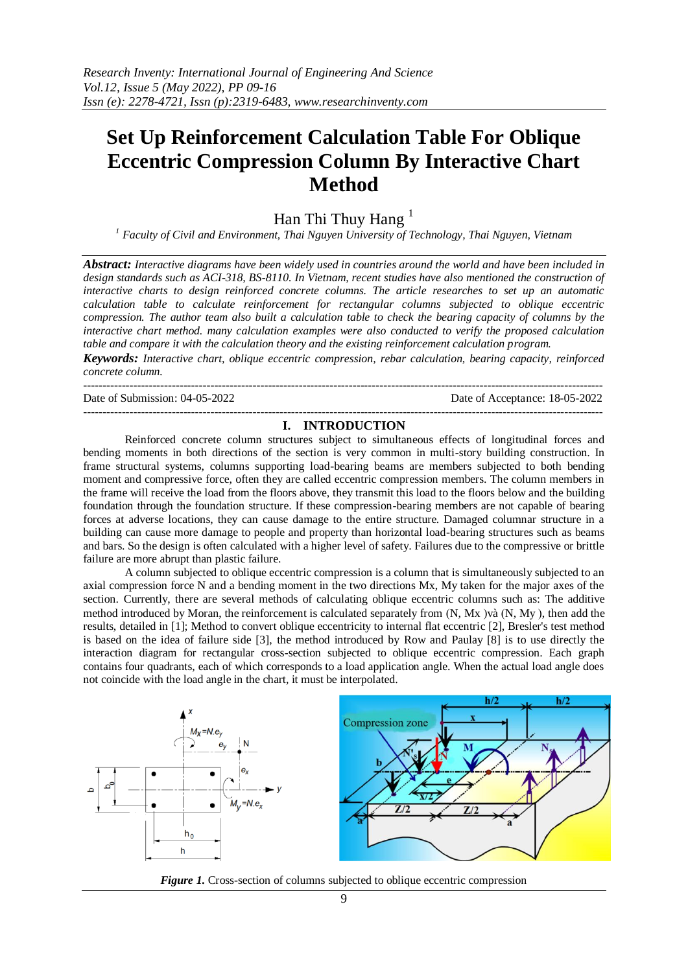# **Set Up Reinforcement Calculation Table For Oblique Eccentric Compression Column By Interactive Chart Method**

Han Thi Thuy Hang $<sup>1</sup>$ </sup>

*<sup>1</sup> Faculty of Civil and Environment, Thai Nguyen University of Technology, Thai Nguyen, Vietnam*

*Abstract: Interactive diagrams have been widely used in countries around the world and have been included in design standards such as ACI-318, BS-8110. In Vietnam, recent studies have also mentioned the construction of interactive charts to design reinforced concrete columns. The article researches to set up an automatic calculation table to calculate reinforcement for rectangular columns subjected to oblique eccentric compression. The author team also built a calculation table to check the bearing capacity of columns by the interactive chart method. many calculation examples were also conducted to verify the proposed calculation table and compare it with the calculation theory and the existing reinforcement calculation program.*

*Keywords: Interactive chart, oblique eccentric compression, rebar calculation, bearing capacity, reinforced concrete column.*

--------------------------------------------------------------------------------------------------------------------------------------- Date of Submission: 04-05-2022 Date of Acceptance: 18-05-2022

## --------------------------------------------------------------------------------------------------------------------------------------- **I. INTRODUCTION**

Reinforced concrete column structures subject to simultaneous effects of longitudinal forces and bending moments in both directions of the section is very common in multi-story building construction. In frame structural systems, columns supporting load-bearing beams are members subjected to both bending moment and compressive force, often they are called eccentric compression members. The column members in the frame will receive the load from the floors above, they transmit this load to the floors below and the building foundation through the foundation structure. If these compression-bearing members are not capable of bearing forces at adverse locations, they can cause damage to the entire structure. Damaged columnar structure in a building can cause more damage to people and property than horizontal load-bearing structures such as beams and bars. So the design is often calculated with a higher level of safety. Failures due to the compressive or brittle failure are more abrupt than plastic failure.

A column subjected to oblique eccentric compression is a column that is simultaneously subjected to an axial compression force N and a bending moment in the two directions Mx, My taken for the major axes of the section. Currently, there are several methods of calculating oblique eccentric columns such as: The additive method introduced by Moran, the reinforcement is calculated separately from  $(N, Mx)$   $\chi$   $(N, My)$ , then add the results, detailed in [1]; Method to convert oblique eccentricity to internal flat eccentric [2], Bresler's test method is based on the idea of failure side [3], the method introduced by Row and Paulay [8] is to use directly the interaction diagram for rectangular cross-section subjected to oblique eccentric compression. Each graph contains four quadrants, each of which corresponds to a load application angle. When the actual load angle does not coincide with the load angle in the chart, it must be interpolated.



*Figure 1.* Cross-section of columns subjected to oblique eccentric compression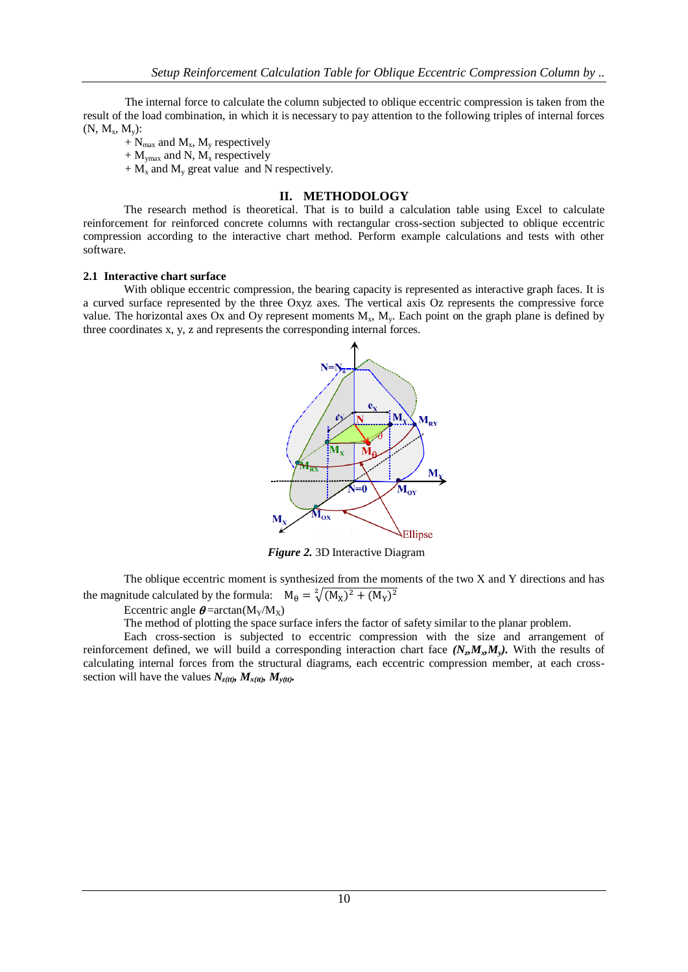The internal force to calculate the column subjected to oblique eccentric compression is taken from the result of the load combination, in which it is necessary to pay attention to the following triples of internal forces  $(N, M_x, M_y)$ :

 $+ N_{max}$  and  $M_x$ ,  $M_y$  respectively

 $+ M_{\text{ymax}}$  and N,  $M_x$  respectively

 $+ M_x$  and  $M_y$  great value and N respectively.

# **II. METHODOLOGY**

The research method is theoretical. That is to build a calculation table using Excel to calculate reinforcement for reinforced concrete columns with rectangular cross-section subjected to oblique eccentric compression according to the interactive chart method. Perform example calculations and tests with other software.

#### **2.1 Interactive chart surface**

With oblique eccentric compression, the bearing capacity is represented as interactive graph faces. It is a curved surface represented by the three Oxyz axes. The vertical axis Oz represents the compressive force value. The horizontal axes Ox and Oy represent moments  $M_x$ ,  $M_y$ . Each point on the graph plane is defined by three coordinates x, y, z and represents the corresponding internal forces.



*Figure 2.* 3D Interactive Diagram

The oblique eccentric moment is synthesized from the moments of the two X and Y directions and has the magnitude calculated by the formula:  $M_{\theta} = \sqrt[2]{(M_X)^2}$ 

Eccentric angle  $\theta = \arctan(M_Y/M_X)$ 

The method of plotting the space surface infers the factor of safety similar to the planar problem.

Each cross-section is subjected to eccentric compression with the size and arrangement of reinforcement defined, we will build a corresponding interaction chart face  $(N_z M_x M_y)$ . With the results of calculating internal forces from the structural diagrams, each eccentric compression member, at each crosssection will have the values  $N_{z(t)}$   $M_{x(t)}$ ,  $M_{y(t)}$ .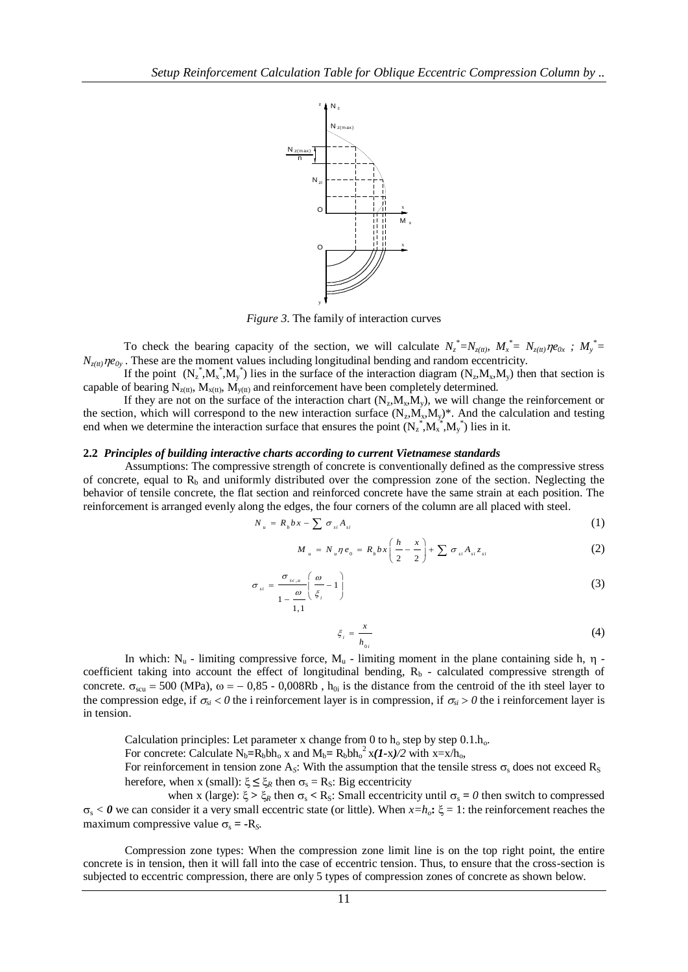

*Figure 3*. The family of interaction curves

To check the bearing capacity of the section, we will calculate  $N_z^* = N_{z(t)}, M_x^* = N_{z(t)}$  $N_{z(t)}$ *ne*<sub>0y</sub>. These are the moment values including longitudinal bending and random eccentricity.

If the point  $(N_z^*, M_x^*, M_y^*)$  lies in the surface of the interaction diagram  $(N_z, M_x, M_y)$  then that section is capable of bearing  $N_{z(t)}$ ,  $M_{x(t)}$ ,  $M_{y(t)}$  and reinforcement have been completely determined.

If they are not on the surface of the interaction chart  $(N_z, M_x, M_y)$ , we will change the reinforcement or the section, which will correspond to the new interaction surface  $(N_z, M_x, M_y)^*$ . And the calculation and testing end when we determine the interaction surface that ensures the point  $(N_z^*, M_x^*, M_y^*)$  lies in it.

#### **2.2** *Principles of building interactive charts according to current Vietnamese standards*

Assumptions: The compressive strength of concrete is conventionally defined as the compressive stress of concrete, equal to  $R_b$  and uniformly distributed over the compression zone of the section. Neglecting the behavior of tensile concrete, the flat section and reinforced concrete have the same strain at each position. The reinforcement is arranged evenly along the edges, the four corners of the column are all placed with steel.

$$
N_u = R_b bx - \sum \sigma_{si} A_{si} \tag{1}
$$

$$
M_{u} = N_{u} \eta e_{0} = R_{b} b x \left( \frac{h}{2} - \frac{x}{2} \right) + \sum \sigma_{si} A_{si} z_{si}
$$
 (2)

$$
\sigma_{si} = \frac{\sigma_{sc,u}}{1 - \frac{\omega}{1.1}} \left( \frac{\omega}{\xi_i} - 1 \right)
$$
 (3)

$$
\xi_i = \frac{x}{h_{0i}}\tag{4}
$$

In which:  $N_u$  - limiting compressive force,  $M_u$  - limiting moment in the plane containing side h,  $\eta$  coefficient taking into account the effect of longitudinal bending,  $R_b$  - calculated compressive strength of concrete.  $\sigma_{\text{scu}} = 500 \text{ (MPa)}$ ,  $\omega = -0.85$  - 0,008Rb,  $h_{0i}$  is the distance from the centroid of the ith steel layer to the compression edge, if  $\sigma_{si} < 0$  the i reinforcement layer is in compression, if  $\sigma_{si} > 0$  the i reinforcement layer is in tension.

Calculation principles: Let parameter x change from 0 to  $h_0$  step by step 0.1. $h_0$ .

For concrete: Calculate  $N_b = R_b b h_0 x$  and  $M_b = R_b b h_0^2 x (I - x)/2$  with  $x = x/h_0$ ,

For reinforcement in tension zone  $A_s$ : With the assumption that the tensile stress  $\sigma_s$  does not exceed  $R_s$ herefore, when x (small):  $\xi \leq \xi_R$  then  $\sigma_s = R_S$ : Big eccentricity

when x (large):  $\xi > \xi_R$  then  $\sigma_s < R_S$ : Small eccentricity until  $\sigma_s = 0$  then switch to compressed  $\sigma_s < \theta$  we can consider it a very small eccentric state (or little). When  $x=h_o$ :  $\xi = 1$ : the reinforcement reaches the maximum compressive value  $\sigma_s$  =  $\text{-}R_s$ *.* 

Compression zone types: When the compression zone limit line is on the top right point, the entire concrete is in tension, then it will fall into the case of eccentric tension. Thus, to ensure that the cross-section is subjected to eccentric compression, there are only 5 types of compression zones of concrete as shown below.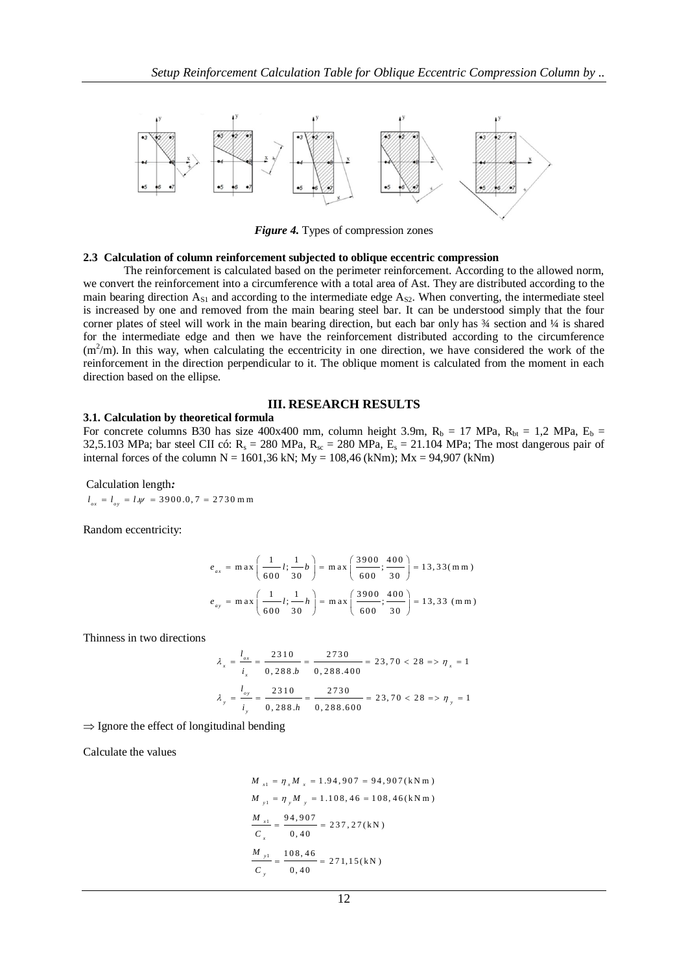

*Figure 4.* Types of compression zones

#### **2.3 Calculation of column reinforcement subjected to oblique eccentric compression**

The reinforcement is calculated based on the perimeter reinforcement. According to the allowed norm, we convert the reinforcement into a circumference with a total area of Ast. They are distributed according to the main bearing direction  $A_{S1}$  and according to the intermediate edge  $A_{S2}$ . When converting, the intermediate steel is increased by one and removed from the main bearing steel bar. It can be understood simply that the four corner plates of steel will work in the main bearing direction, but each bar only has  $\frac{3}{4}$  section and  $\frac{1}{4}$  is shared for the intermediate edge and then we have the reinforcement distributed according to the circumference  $(m<sup>2</sup>/m)$ . In this way, when calculating the eccentricity in one direction, we have considered the work of the reinforcement in the direction perpendicular to it. The oblique moment is calculated from the moment in each direction based on the ellipse.

## **III. RESEARCH RESULTS**

**3.1. Calculation by theoretical formula** For concrete columns B30 has size 400x400 mm, column height 3.9m,  $R_b = 17 \text{ MPa}$ ,  $R_{bt} = 1,2 \text{ MPa}$ ,  $E_b =$ 32,5.103 MPa; bar steel CII có:  $R_s = 280$  MPa,  $R_{sc} = 280$  MPa,  $E_s = 21.104$  MPa; The most dangerous pair of internal forces of the column  $N = 1601,36$  kN;  $My = 108,46$  (kNm);  $Mx = 94,907$  (kNm)

Calculation length*:*   $l_{ox} = l_{oy} = l.\psi = 3900.0, 7 = 2730 \text{ m m}$ 

Random eccentricity:

$$
e_{ax} = \max\left(\frac{1}{600}l; \frac{1}{30}b\right) = \max\left(\frac{3900}{600}; \frac{400}{30}\right) = 13,33\,(\text{m m})
$$

$$
e_{ay} = \max\left(\frac{1}{600}l; \frac{1}{30}h\right) = \max\left(\frac{3900}{600}; \frac{400}{30}\right) = 13,33\,(\text{m m})
$$

Thinness in two directions

$$
\lambda_x = \frac{l_{ox}}{i_x} = \frac{2310}{0,288.b} = \frac{2730}{0,288.400} = 23,70 < 28 \Rightarrow \eta_x = 1
$$
\n
$$
\lambda_y = \frac{l_{oy}}{i_y} = \frac{2310}{0,288.b} = \frac{2730}{0,288.600} = 23,70 < 28 \Rightarrow \eta_y = 1
$$

 $\Rightarrow$  Ignore the effect of longitudinal bending

Calculate the values

$$
M_{x1} = \eta_x M_x = 1.94,907 = 94,907 \text{ (kN m)}
$$
  
\n
$$
M_{y1} = \eta_y M_y = 1.108,46 = 108,46 \text{ (kN m)}
$$
  
\n
$$
\frac{M_{x1}}{C_x} = \frac{94,907}{0,40} = 237,27 \text{ (kN)}
$$
  
\n
$$
\frac{M_{y1}}{C_y} = \frac{108,46}{0,40} = 271,15 \text{ (kN)}
$$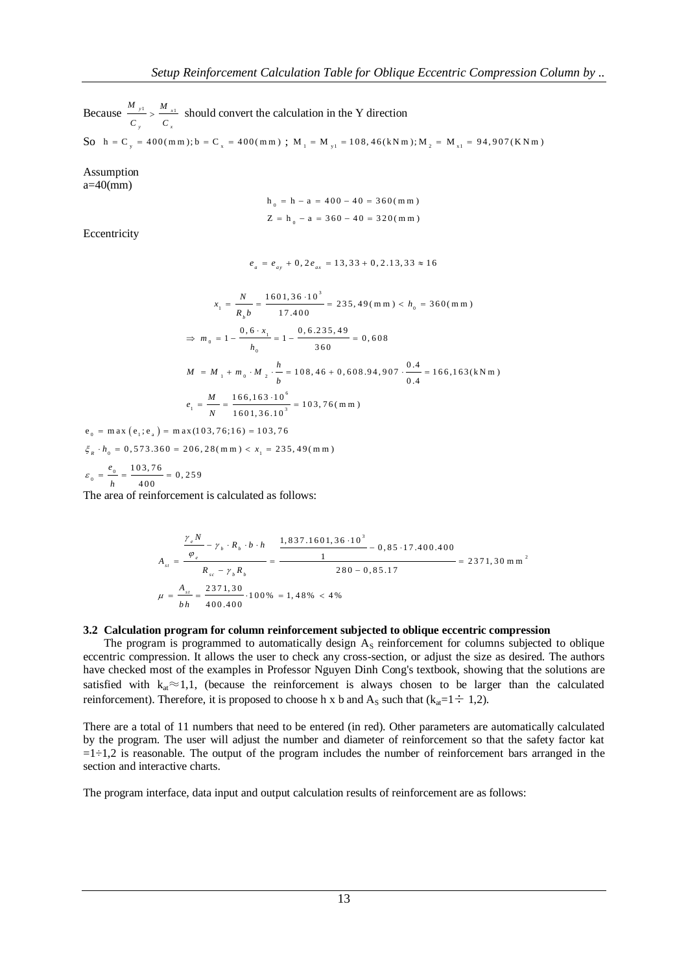Because  $\frac{m_{y1}}{m} > \frac{m_{x1}}{m_{y1}}$ *y x*  $M_{v1}$  *M C C*  $\frac{1}{s}$  should convert the calculation in the Y direction So  $h = C_y = 400$ (mm);  $b = C_x = 400$ (mm);  $M_1 = M_{y1} = 108,46$ (kNm);  $M_2 = M_{x1} = 94,907$ (KNm)

Assumption  $a=40$ (mm)

$$
h_0 = h - a = 400 - 40 = 360 \, (\text{m m})
$$
  
Z =  $h_0 - a = 360 - 40 = 320 \, (\text{m m})$ 

**Eccentricity** 

$$
e_a = e_{ay} + 0, 2e_{ax} = 13, 33 + 0, 2.13, 33 \approx 16
$$

$$
x_1 = \frac{N}{R_b b} = \frac{1601,36 \cdot 10^3}{17,400} = 235,49 \text{ (m m)} < h_0 = 360 \text{ (m m)}
$$
\n
$$
\Rightarrow m_0 = 1 - \frac{0,6 \cdot x_1}{h_0} = 1 - \frac{0,6.235,49}{360} = 0,608
$$
\n
$$
M = M_1 + m_0 \cdot M_2 \cdot \frac{h}{b} = 108,46 + 0,608.94,907 \cdot \frac{0.4}{0.4} = 166,163 \text{ (kN m)}
$$
\n
$$
e_1 = \frac{M}{N} = \frac{166,163 \cdot 10^6}{1601,36.10^3} = 103,76 \text{ (m m)}
$$

 $N = 1601, 36.10$ <br>  $e_0 = \max(e_1; e_a) = \max(103, 76; 16) = 103, 76$  $\max_{\theta_0} (e_1; e_a) = \max(105, 76; 16) = 105, 76$ <br>  $\sum_{n=0}^{\infty} (e_1; e_a) = 206, 28(\text{mm}) < x_1 = 235, 49(\text{mm})$  $e_0 = \max(e_1; e_a) = \max(103, 76; 16) = 103, 76$ <br>  $\zeta_R \cdot h_0 = 0,573.360 = 206,28(\text{mm}) < x_1 = 235$ <br>  $\zeta_R \cdot \frac{e_0}{h_0} = \frac{103.76}{h_0} = 0.259$ 

$$
\varepsilon_0 = \frac{e_0}{h} = \frac{103,76}{400} = 0,259
$$

The area of reinforcement is calculated as follows:

$$
A_{st} = \frac{\frac{\gamma_e N}{\varphi_e} - \gamma_b \cdot R_b \cdot b \cdot h}{R_{sc} - \gamma_b R_b} = \frac{\frac{1,837.1601,36 \cdot 10^3}{1} - 0,85 \cdot 17.400.400}{280 - 0,85.17} = 2371,30 \text{ m m}^2
$$
  

$$
\mu = \frac{A_{st}}{bh} = \frac{2371,30}{400.400} \cdot 100\% = 1,48\% < 4\%
$$

#### **3.2 Calculation program for column reinforcement subjected to oblique eccentric compression**

The program is programmed to automatically design  $A<sub>S</sub>$  reinforcement for columns subjected to oblique eccentric compression. It allows the user to check any cross-section, or adjust the size as desired. The authors have checked most of the examples in Professor Nguyen Dinh Cong's textbook, showing that the solutions are satisfied with  $k_{at} \approx 1,1$ , (because the reinforcement is always chosen to be larger than the calculated reinforcement). Therefore, it is proposed to choose h x b and A<sub>S</sub> such that ( $k_{at}=1 \div 1,2$ ).

There are a total of 11 numbers that need to be entered (in red). Other parameters are automatically calculated by the program. The user will adjust the number and diameter of reinforcement so that the safety factor kat  $=1\div 1,2$  is reasonable. The output of the program includes the number of reinforcement bars arranged in the section and interactive charts.

The program interface, data input and output calculation results of reinforcement are as follows: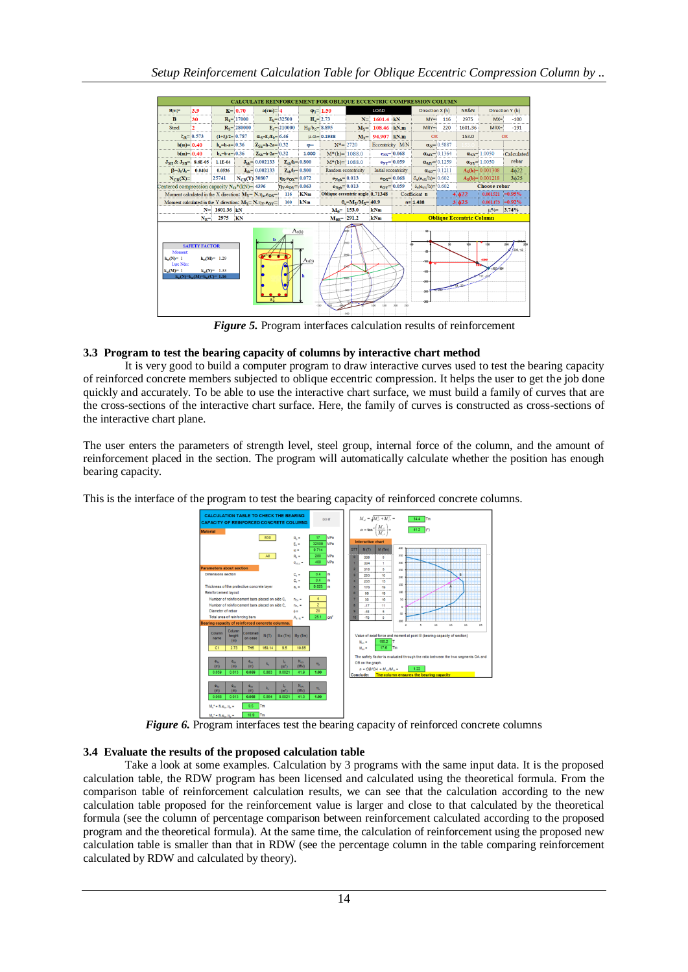

*Figure 5.* Program interfaces calculation results of reinforcement

# **3.3 Program to test the bearing capacity of columns by interactive chart method**

It is very good to build a computer program to draw interactive curves used to test the bearing capacity of reinforced concrete members subjected to oblique eccentric compression. It helps the user to get the job done quickly and accurately. To be able to use the interactive chart surface, we must build a family of curves that are the cross-sections of the interactive chart surface. Here, the family of curves is constructed as cross-sections of the interactive chart plane.

The user enters the parameters of strength level, steel group, internal force of the column, and the amount of reinforcement placed in the section. The program will automatically calculate whether the position has enough bearing capacity.

This is the interface of the program to test the bearing capacity of reinforced concrete columns.



*Figure 6.* Program interfaces test the bearing capacity of reinforced concrete columns

# **3.4 Evaluate the results of the proposed calculation table**

Take a look at some examples. Calculation by 3 programs with the same input data. It is the proposed calculation table, the RDW program has been licensed and calculated using the theoretical formula. From the comparison table of reinforcement calculation results, we can see that the calculation according to the new calculation table proposed for the reinforcement value is larger and close to that calculated by the theoretical formula (see the column of percentage comparison between reinforcement calculated according to the proposed program and the theoretical formula). At the same time, the calculation of reinforcement using the proposed new calculation table is smaller than that in RDW (see the percentage column in the table comparing reinforcement calculated by RDW and calculated by theory).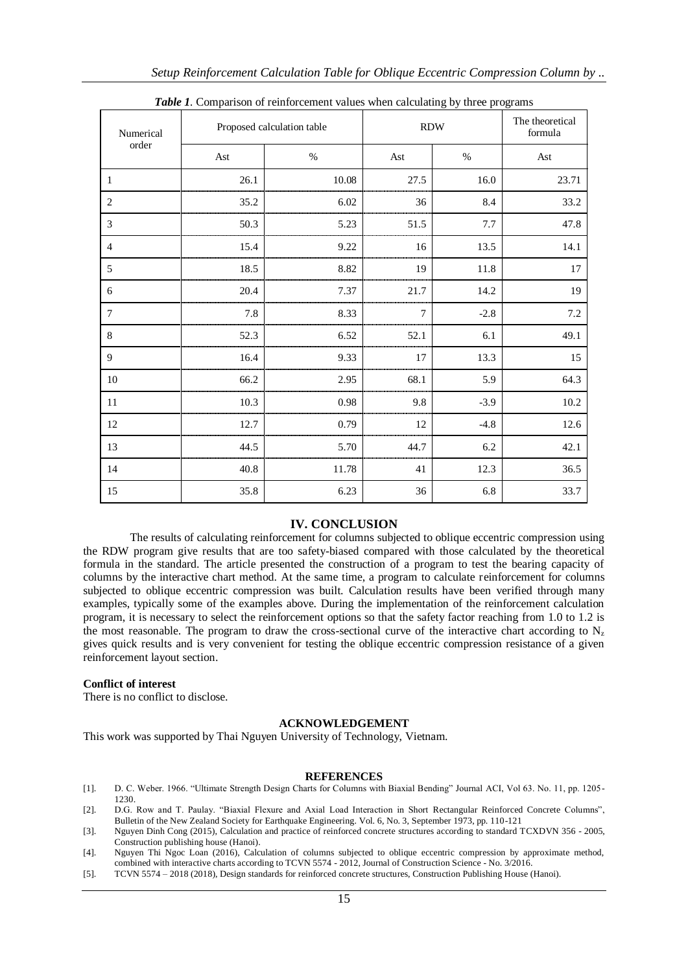| Numerical<br>order | <b>Tube 1.</b> Comparison of remforement values when calculating by time programs<br>Proposed calculation table |       | <b>RDW</b> |        | The theoretical<br>formula |
|--------------------|-----------------------------------------------------------------------------------------------------------------|-------|------------|--------|----------------------------|
|                    | Ast                                                                                                             | $\%$  | Ast        | $\%$   | Ast                        |
| $\mathbf{1}$       | 26.1                                                                                                            | 10.08 | 27.5       | 16.0   | 23.71                      |
| $\mathfrak{2}$     | 35.2                                                                                                            | 6.02  | 36         | 8.4    | 33.2                       |
| 3                  | 50.3                                                                                                            | 5.23  | 51.5       | 7.7    | 47.8                       |
| $\overline{4}$     | 15.4                                                                                                            | 9.22  | 16         | 13.5   | 14.1                       |
| 5                  | 18.5                                                                                                            | 8.82  | 19         | 11.8   | 17                         |
| 6                  | 20.4                                                                                                            | 7.37  | 21.7       | 14.2   | 19                         |
| 7                  | 7.8                                                                                                             | 8.33  | 7          | $-2.8$ | $7.2\,$                    |
| $\,8\,$            | 52.3                                                                                                            | 6.52  | 52.1       | 6.1    | 49.1                       |
| 9                  | 16.4                                                                                                            | 9.33  | 17         | 13.3   | 15                         |
| 10                 | 66.2                                                                                                            | 2.95  | 68.1       | 5.9    | 64.3                       |
| 11                 | 10.3                                                                                                            | 0.98  | 9.8        | $-3.9$ | 10.2                       |
| 12                 | 12.7                                                                                                            | 0.79  | 12         | $-4.8$ | 12.6                       |
| 13                 | 44.5                                                                                                            | 5.70  | 44.7       | 6.2    | 42.1                       |
| 14                 | 40.8                                                                                                            | 11.78 | 41         | 12.3   | 36.5                       |
| 15                 | 35.8                                                                                                            | 6.23  | 36         | 6.8    | 33.7                       |

*Table 1.* Comparison of reinforcement values when calculating by three programs

## **IV. CONCLUSION**

The results of calculating reinforcement for columns subjected to oblique eccentric compression using the RDW program give results that are too safety-biased compared with those calculated by the theoretical formula in the standard. The article presented the construction of a program to test the bearing capacity of columns by the interactive chart method. At the same time, a program to calculate reinforcement for columns subjected to oblique eccentric compression was built. Calculation results have been verified through many examples, typically some of the examples above. During the implementation of the reinforcement calculation program, it is necessary to select the reinforcement options so that the safety factor reaching from 1.0 to 1.2 is the most reasonable. The program to draw the cross-sectional curve of the interactive chart according to  $N_z$ gives quick results and is very convenient for testing the oblique eccentric compression resistance of a given reinforcement layout section.

#### **Conflict of interest**

There is no conflict to disclose.

#### **ACKNOWLEDGEMENT**

This work was supported by Thai Nguyen University of Technology, Vietnam.

#### **REFERENCES**

- [1]. D. C. Weber. 1966. "Ultimate Strength Design Charts for Columns with Biaxial Bending" Journal ACI, Vol 63. No. 11, pp. 1205- 1230.
- [2]. D.G. Row and T. Paulay. "Biaxial Flexure and Axial Load Interaction in Short Rectangular Reinforced Concrete Columns", Bulletin of the New Zealand Society for Earthquake Engineering. Vol. 6, No. 3, September 1973, pp. 110-121
- [3]. Nguyen Dinh Cong (2015), Calculation and practice of reinforced concrete structures according to standard TCXDVN 356 2005, Construction publishing house (Hanoi).
- [4]. Nguyen Thi Ngoc Loan (2016), Calculation of columns subjected to oblique eccentric compression by approximate method, combined with interactive charts according to TCVN 5574 - 2012, Journal of Construction Science - No. 3/2016.
- [5]. TCVN 5574 2018 (2018), Design standards for reinforced concrete structures, Construction Publishing House (Hanoi).